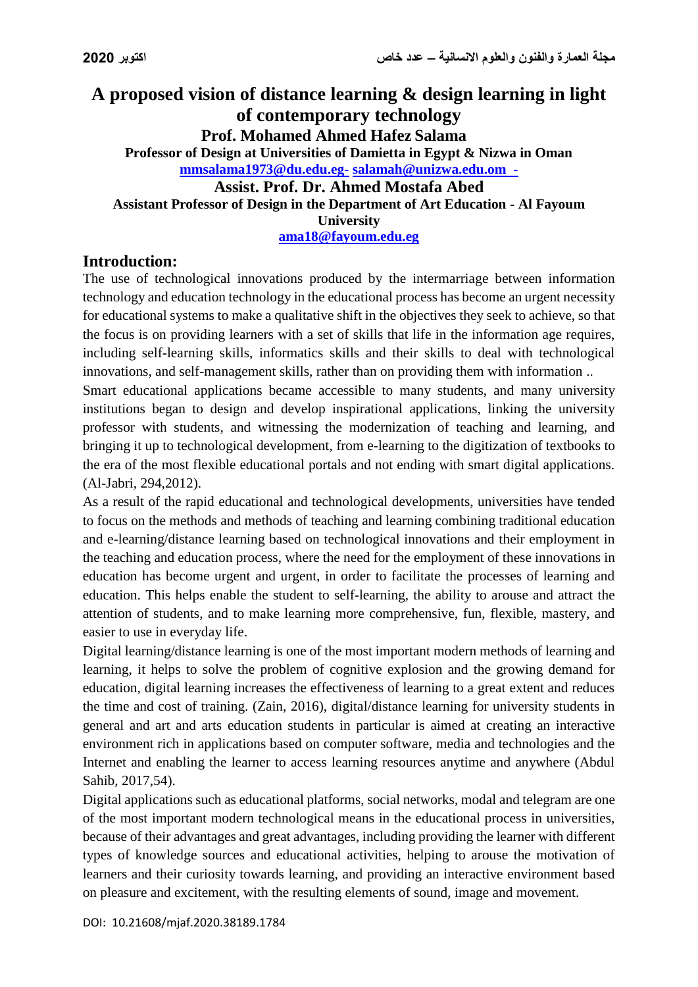# **A proposed vision of distance learning & design learning in light of contemporary technology**

**Prof. Mohamed Ahmed Hafez Salama Professor of Design at Universities of Damietta in Egypt & Nizwa in Oman [mmsalama1973@du.edu.eg-](mailto:mmsalama1973@du.edu.eg-) [salamah@unizwa.edu.om](mailto:salamah@unizwa.edu.om) -**

#### **Assist. Prof. Dr. Ahmed Mostafa Abed Assistant Professor of Design in the Department of Art Education - Al Fayoum University [ama18@fayoum.edu.eg](mailto:ama18@fayoum.edu.eg)**

# **Introduction:**

The use of technological innovations produced by the intermarriage between information technology and education technology in the educational process has become an urgent necessity for educational systems to make a qualitative shift in the objectives they seek to achieve, so that the focus is on providing learners with a set of skills that life in the information age requires, including self-learning skills, informatics skills and their skills to deal with technological innovations, and self-management skills, rather than on providing them with information ..

Smart educational applications became accessible to many students, and many university institutions began to design and develop inspirational applications, linking the university professor with students, and witnessing the modernization of teaching and learning, and bringing it up to technological development, from e-learning to the digitization of textbooks to the era of the most flexible educational portals and not ending with smart digital applications. (Al-Jabri, 294,2012).

As a result of the rapid educational and technological developments, universities have tended to focus on the methods and methods of teaching and learning combining traditional education and e-learning/distance learning based on technological innovations and their employment in the teaching and education process, where the need for the employment of these innovations in education has become urgent and urgent, in order to facilitate the processes of learning and education. This helps enable the student to self-learning, the ability to arouse and attract the attention of students, and to make learning more comprehensive, fun, flexible, mastery, and easier to use in everyday life.

Digital learning/distance learning is one of the most important modern methods of learning and learning, it helps to solve the problem of cognitive explosion and the growing demand for education, digital learning increases the effectiveness of learning to a great extent and reduces the time and cost of training. (Zain, 2016), digital/distance learning for university students in general and art and arts education students in particular is aimed at creating an interactive environment rich in applications based on computer software, media and technologies and the Internet and enabling the learner to access learning resources anytime and anywhere (Abdul Sahib, 2017,54).

Digital applications such as educational platforms, social networks, modal and telegram are one of the most important modern technological means in the educational process in universities, because of their advantages and great advantages, including providing the learner with different types of knowledge sources and educational activities, helping to arouse the motivation of learners and their curiosity towards learning, and providing an interactive environment based on pleasure and excitement, with the resulting elements of sound, image and movement.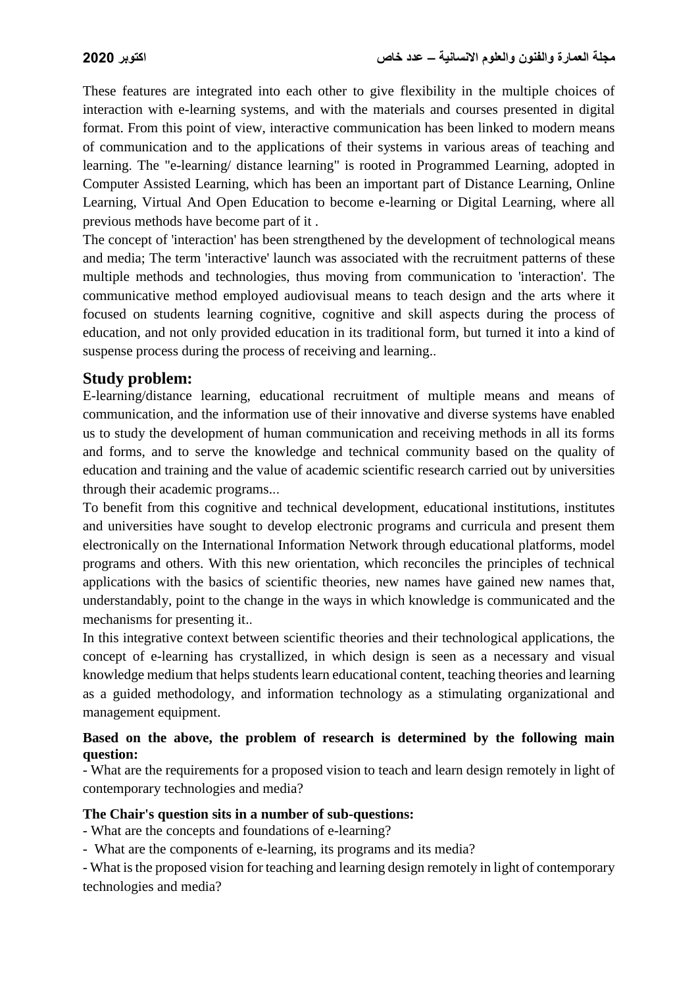These features are integrated into each other to give flexibility in the multiple choices of interaction with e-learning systems, and with the materials and courses presented in digital format. From this point of view, interactive communication has been linked to modern means of communication and to the applications of their systems in various areas of teaching and learning. The "e-learning/ distance learning" is rooted in Programmed Learning, adopted in Computer Assisted Learning, which has been an important part of Distance Learning, Online Learning, Virtual And Open Education to become e-learning or Digital Learning, where all previous methods have become part of it .

The concept of 'interaction' has been strengthened by the development of technological means and media; The term 'interactive' launch was associated with the recruitment patterns of these multiple methods and technologies, thus moving from communication to 'interaction'. The communicative method employed audiovisual means to teach design and the arts where it focused on students learning cognitive, cognitive and skill aspects during the process of education, and not only provided education in its traditional form, but turned it into a kind of suspense process during the process of receiving and learning..

## **Study problem:**

E-learning/distance learning, educational recruitment of multiple means and means of communication, and the information use of their innovative and diverse systems have enabled us to study the development of human communication and receiving methods in all its forms and forms, and to serve the knowledge and technical community based on the quality of education and training and the value of academic scientific research carried out by universities through their academic programs...

To benefit from this cognitive and technical development, educational institutions, institutes and universities have sought to develop electronic programs and curricula and present them electronically on the International Information Network through educational platforms, model programs and others. With this new orientation, which reconciles the principles of technical applications with the basics of scientific theories, new names have gained new names that, understandably, point to the change in the ways in which knowledge is communicated and the mechanisms for presenting it..

In this integrative context between scientific theories and their technological applications, the concept of e-learning has crystallized, in which design is seen as a necessary and visual knowledge medium that helps students learn educational content, teaching theories and learning as a guided methodology, and information technology as a stimulating organizational and management equipment.

#### **Based on the above, the problem of research is determined by the following main question:**

- What are the requirements for a proposed vision to teach and learn design remotely in light of contemporary technologies and media?

#### **The Chair's question sits in a number of sub-questions:**

- What are the concepts and foundations of e-learning?

- What are the components of e-learning, its programs and its media?

- What is the proposed vision for teaching and learning design remotely in light of contemporary technologies and media?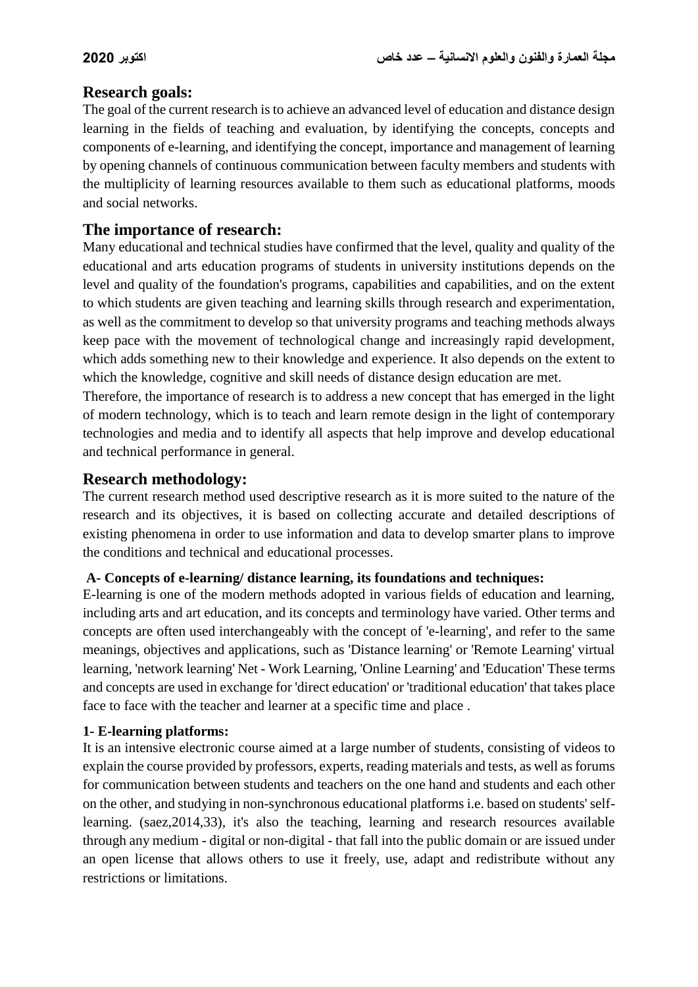## **Research goals:**

The goal of the current research is to achieve an advanced level of education and distance design learning in the fields of teaching and evaluation, by identifying the concepts, concepts and components of e-learning, and identifying the concept, importance and management of learning by opening channels of continuous communication between faculty members and students with the multiplicity of learning resources available to them such as educational platforms, moods and social networks.

## **The importance of research:**

Many educational and technical studies have confirmed that the level, quality and quality of the educational and arts education programs of students in university institutions depends on the level and quality of the foundation's programs, capabilities and capabilities, and on the extent to which students are given teaching and learning skills through research and experimentation, as well as the commitment to develop so that university programs and teaching methods always keep pace with the movement of technological change and increasingly rapid development, which adds something new to their knowledge and experience. It also depends on the extent to which the knowledge, cognitive and skill needs of distance design education are met.

Therefore, the importance of research is to address a new concept that has emerged in the light of modern technology, which is to teach and learn remote design in the light of contemporary technologies and media and to identify all aspects that help improve and develop educational and technical performance in general.

## **Research methodology:**

The current research method used descriptive research as it is more suited to the nature of the research and its objectives, it is based on collecting accurate and detailed descriptions of existing phenomena in order to use information and data to develop smarter plans to improve the conditions and technical and educational processes.

#### **A- Concepts of e-learning/ distance learning, its foundations and techniques:**

E-learning is one of the modern methods adopted in various fields of education and learning, including arts and art education, and its concepts and terminology have varied. Other terms and concepts are often used interchangeably with the concept of 'e-learning', and refer to the same meanings, objectives and applications, such as 'Distance learning' or 'Remote Learning' virtual learning, 'network learning' Net - Work Learning, 'Online Learning' and 'Education' These terms and concepts are used in exchange for 'direct education' or 'traditional education' that takes place face to face with the teacher and learner at a specific time and place .

#### **1- E-learning platforms:**

It is an intensive electronic course aimed at a large number of students, consisting of videos to explain the course provided by professors, experts, reading materials and tests, as well as forums for communication between students and teachers on the one hand and students and each other on the other, and studying in non-synchronous educational platforms i.e. based on students' selflearning. (saez,2014,33), it's also the teaching, learning and research resources available through any medium - digital or non-digital - that fall into the public domain or are issued under an open license that allows others to use it freely, use, adapt and redistribute without any restrictions or limitations.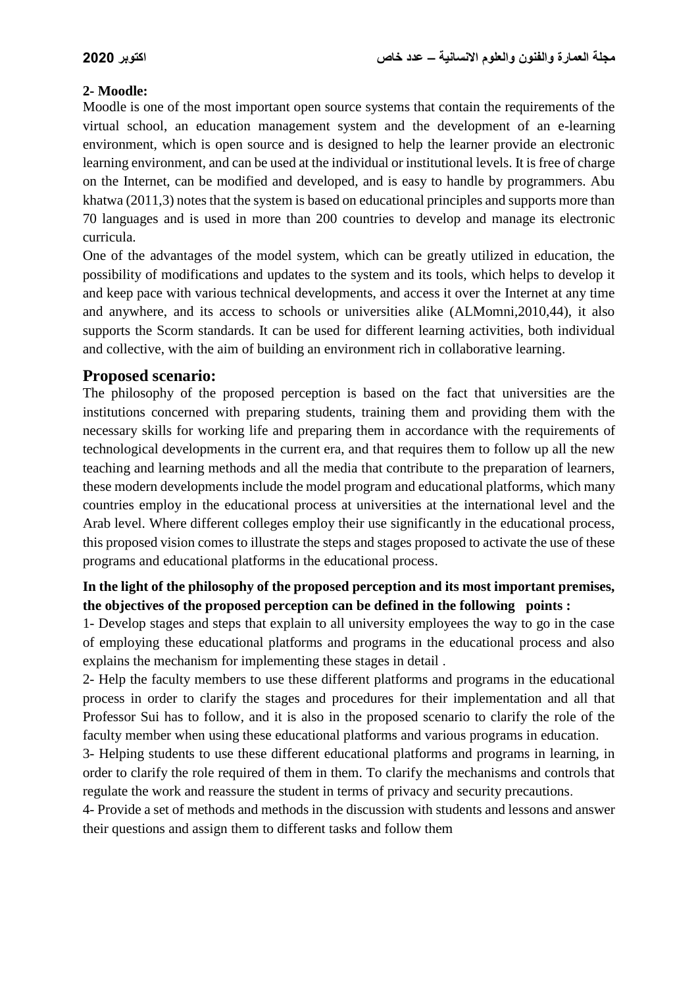### **2- Moodle:**

Moodle is one of the most important open source systems that contain the requirements of the virtual school, an education management system and the development of an e-learning environment, which is open source and is designed to help the learner provide an electronic learning environment, and can be used at the individual or institutional levels. It is free of charge on the Internet, can be modified and developed, and is easy to handle by programmers. Abu khatwa (2011,3) notes that the system is based on educational principles and supports more than 70 languages and is used in more than 200 countries to develop and manage its electronic curricula.

One of the advantages of the model system, which can be greatly utilized in education, the possibility of modifications and updates to the system and its tools, which helps to develop it and keep pace with various technical developments, and access it over the Internet at any time and anywhere, and its access to schools or universities alike (ALMomni,2010,44), it also supports the Scorm standards. It can be used for different learning activities, both individual and collective, with the aim of building an environment rich in collaborative learning.

## **Proposed scenario:**

The philosophy of the proposed perception is based on the fact that universities are the institutions concerned with preparing students, training them and providing them with the necessary skills for working life and preparing them in accordance with the requirements of technological developments in the current era, and that requires them to follow up all the new teaching and learning methods and all the media that contribute to the preparation of learners, these modern developments include the model program and educational platforms, which many countries employ in the educational process at universities at the international level and the Arab level. Where different colleges employ their use significantly in the educational process, this proposed vision comes to illustrate the steps and stages proposed to activate the use of these programs and educational platforms in the educational process.

## **In the light of the philosophy of the proposed perception and its most important premises, the objectives of the proposed perception can be defined in the following points :**

1- Develop stages and steps that explain to all university employees the way to go in the case of employing these educational platforms and programs in the educational process and also explains the mechanism for implementing these stages in detail .

2- Help the faculty members to use these different platforms and programs in the educational process in order to clarify the stages and procedures for their implementation and all that Professor Sui has to follow, and it is also in the proposed scenario to clarify the role of the faculty member when using these educational platforms and various programs in education.

3- Helping students to use these different educational platforms and programs in learning, in order to clarify the role required of them in them. To clarify the mechanisms and controls that regulate the work and reassure the student in terms of privacy and security precautions.

4- Provide a set of methods and methods in the discussion with students and lessons and answer their questions and assign them to different tasks and follow them